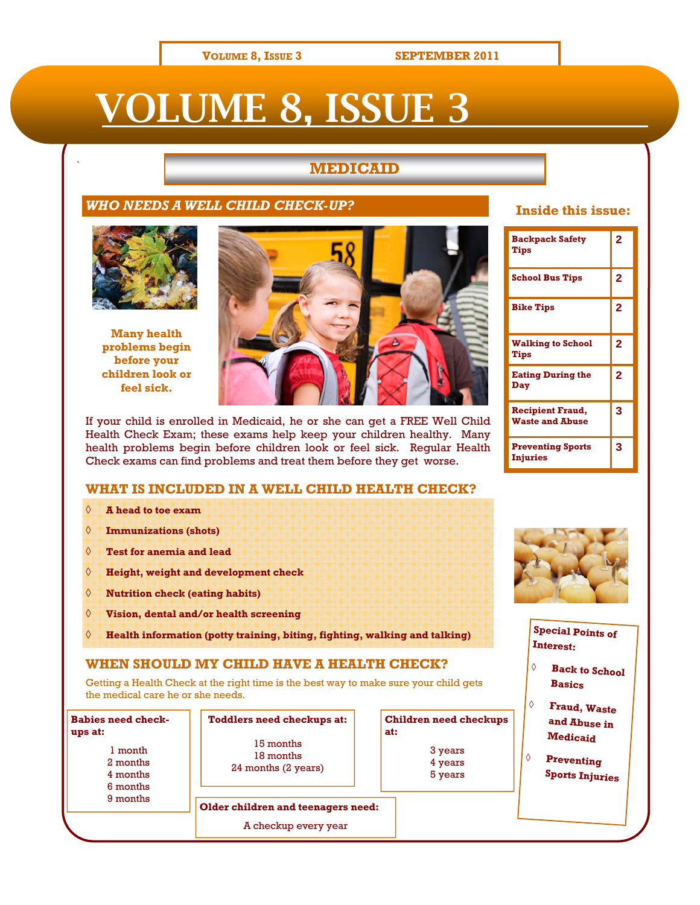#### **VOLUME 8, ISSUE 3 SEPTEMBER 2011**

# VOLUME 8, ISSUE 3

# **MEDICAID**

#### *WHO NEEDS A WELL CHILD CHECK-UP?*



**Many health problems begin before your children look or feel sick.** 



If your child is enrolled in Medicaid, he or she can get a FREE Well Child Health Check Exam; these exams help keep your children healthy. Many health problems begin before children look or feel sick. Regular Health Check exams can find problems and treat them before they get worse.

### **WHAT IS INCLUDED IN A WELL CHILD HEALTH CHECK?**

- ◊ **A head to toe exam**
- ◊ **Immunizations (shots)**
- ◊ **Test for anemia and lead**
- ◊ **Height, weight and development check**
- ◊ **Nutrition check (eating habits)**
- ◊ **Vision, dental and/or health screening**
- ◊ **Health information (potty training, biting, fighting, walking and talking)**

#### **WHEN SHOULD MY CHILD HAVE A HEALTH CHECK?**

Getting a Health Check at the right time is the best way to make sure your child gets the medical care he or she needs.

**Babies need checkups at:**  1 month 2 months 4 months 6 months 9 months

**Toddlers need checkups at:**  15 months 18 months 24 months (2 years)

| <b>Children need checkups</b><br>at: |  |
|--------------------------------------|--|
| 3 years                              |  |
| 4 years                              |  |
| 5 years                              |  |

## **Inside this issue:**

| <b>Backpack Safety</b><br>Tips                    | $\overline{2}$ |
|---------------------------------------------------|----------------|
| <b>School Bus Tips</b>                            | $\overline{a}$ |
| <b>Bike Tips</b>                                  | $\overline{2}$ |
| <b>Walking to School</b><br>Tips                  | $\overline{a}$ |
| <b>Eating During the</b><br>Dav                   | $\overline{a}$ |
| <b>Recipient Fraud,</b><br><b>Waste and Abuse</b> | 3              |
| <b>Preventing Sports</b><br><b>Injuries</b>       | 3              |



### **Special Points of Interest:**

- ◊ **Back to School Basics**
- ◊ **Fraud, Waste and Abuse in Medicaid**
- ◊ **Preventing Sports Injuries**

**Older children and teenagers need:** 

A checkup every year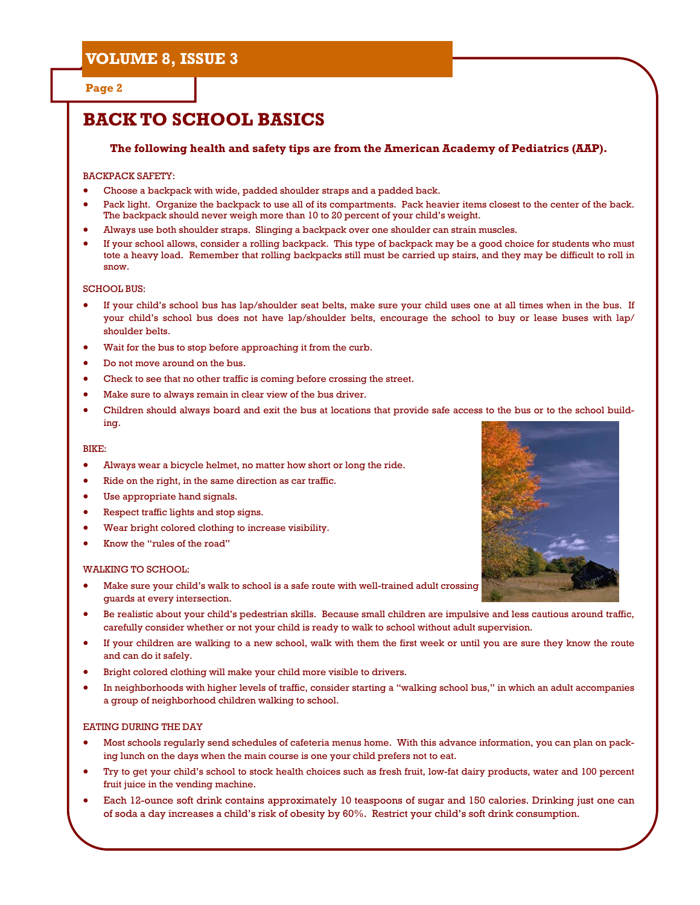#### **Page 2**

# **BACK TO SCHOOL BASICS**

#### **The following health and safety tips are from the American Academy of Pediatrics (AAP).**

#### BACKPACK SAFETY:

- Choose a backpack with wide, padded shoulder straps and a padded back.
- Pack light. Organize the backpack to use all of its compartments. Pack heavier items closest to the center of the back. The backpack should never weigh more than 10 to 20 percent of your child's weight.
- Always use both shoulder straps. Slinging a backpack over one shoulder can strain muscles.
- If your school allows, consider a rolling backpack. This type of backpack may be a good choice for students who must tote a heavy load. Remember that rolling backpacks still must be carried up stairs, and they may be difficult to roll in snow.

#### SCHOOL BUS:

- If your child's school bus has lap/shoulder seat belts, make sure your child uses one at all times when in the bus. If your child's school bus does not have lap/shoulder belts, encourage the school to buy or lease buses with lap/ shoulder belts.
- Wait for the bus to stop before approaching it from the curb.
- Do not move around on the bus.
- Check to see that no other traffic is coming before crossing the street.
- Make sure to always remain in clear view of the bus driver.
- Children should always board and exit the bus at locations that provide safe access to the bus or to the school building.

#### BIKE:

- Always wear a bicycle helmet, no matter how short or long the ride.
- Ride on the right, in the same direction as car traffic.
- Use appropriate hand signals.
- Respect traffic lights and stop signs.
- Wear bright colored clothing to increase visibility.
- Know the "rules of the road"

#### WALKING TO SCHOOL:

- Make sure your child's walk to school is a safe route with well-trained adult crossing guards at every intersection.
- Be realistic about your child's pedestrian skills. Because small children are impulsive and less cautious around traffic, carefully consider whether or not your child is ready to walk to school without adult supervision.
- If your children are walking to a new school, walk with them the first week or until you are sure they know the route and can do it safely.
- Bright colored clothing will make your child more visible to drivers.
- In neighborhoods with higher levels of traffic, consider starting a "walking school bus," in which an adult accompanies a group of neighborhood children walking to school.

#### EATING DURING THE DAY

- Most schools regularly send schedules of cafeteria menus home. With this advance information, you can plan on packing lunch on the days when the main course is one your child prefers not to eat.
- Try to get your child's school to stock health choices such as fresh fruit, low-fat dairy products, water and 100 percent fruit juice in the vending machine.
- Each 12-ounce soft drink contains approximately 10 teaspoons of sugar and 150 calories. Drinking just one can of soda a day increases a child's risk of obesity by 60%. Restrict your child's soft drink consumption.

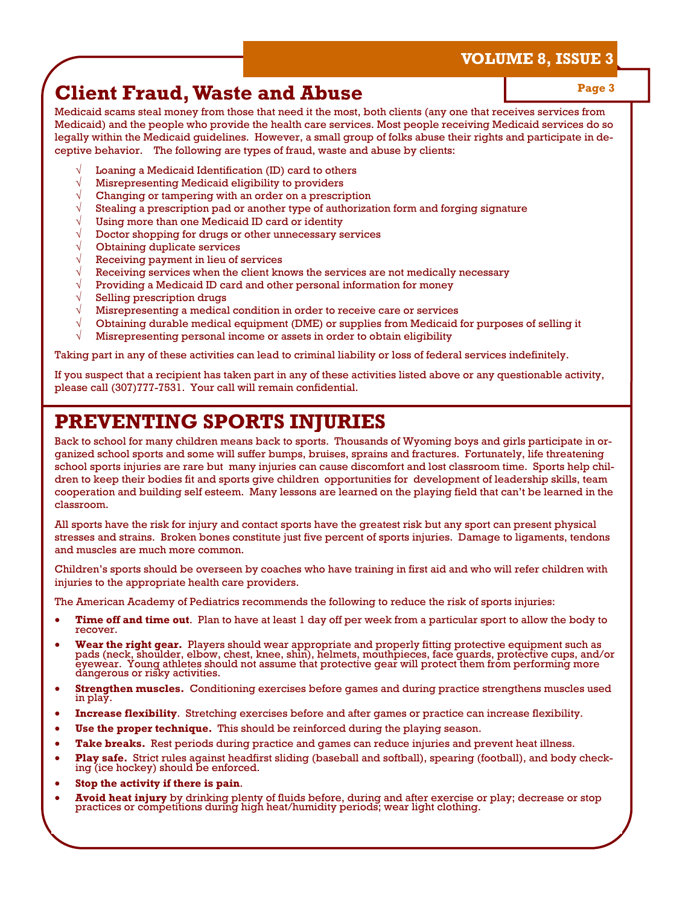# **Client Fraud, Waste and Abuse May Allen Strate 3 April 2013** Page 3

Medicaid scams steal money from those that need it the most, both clients (any one that receives services from Medicaid) and the people who provide the health care services. Most people receiving Medicaid services do so legally within the Medicaid guidelines. However, a small group of folks abuse their rights and participate in deceptive behavior. The following are types of fraud, waste and abuse by clients:

- Loaning a Medicaid Identification (ID) card to others
- √ Misrepresenting Medicaid eligibility to providers
- Changing or tampering with an order on a prescription
- Stealing a prescription pad or another type of authorization form and forging signature
- Using more than one Medicaid ID card or identity
- Doctor shopping for drugs or other unnecessary services
- Obtaining duplicate services
- Receiving payment in lieu of services
- Receiving services when the client knows the services are not medically necessary
- Providing a Medicaid ID card and other personal information for money
- Selling prescription drugs
- Misrepresenting a medical condition in order to receive care or services
- √ Obtaining durable medical equipment (DME) or supplies from Medicaid for purposes of selling it
- √ Misrepresenting personal income or assets in order to obtain eligibility

Taking part in any of these activities can lead to criminal liability or loss of federal services indefinitely.

If you suspect that a recipient has taken part in any of these activities listed above or any questionable activity, please call (307)777-7531. Your call will remain confidential.

# **PREVENTING SPORTS INJURIES**

Back to school for many children means back to sports. Thousands of Wyoming boys and girls participate in organized school sports and some will suffer bumps, bruises, sprains and fractures. Fortunately, life threatening school sports injuries are rare but many injuries can cause discomfort and lost classroom time. Sports help children to keep their bodies fit and sports give children opportunities for development of leadership skills, team cooperation and building self esteem. Many lessons are learned on the playing field that can't be learned in the classroom.

All sports have the risk for injury and contact sports have the greatest risk but any sport can present physical stresses and strains. Broken bones constitute just five percent of sports injuries. Damage to ligaments, tendons and muscles are much more common.

Children's sports should be overseen by coaches who have training in first aid and who will refer children with injuries to the appropriate health care providers.

The American Academy of Pediatrics recommends the following to reduce the risk of sports injuries:

- **Time off and time out**. Plan to have at least 1 day off per week from a particular sport to allow the body to recover.
- Wear the right gear. Players should wear appropriate and properly fitting protective equipment such as pads (neck, shoulder, elbow, chest, knee, shin), helmets, mouthpieces, face guards, protective cups, and/or eyewear. Yo
- **Strengthen muscles.** Conditioning exercises before games and during practice strengthens muscles used in play.
- **Increase flexibility**. Stretching exercises before and after games or practice can increase flexibility.
- **Use the proper technique.** This should be reinforced during the playing season.
- **Take breaks.** Rest periods during practice and games can reduce injuries and prevent heat illness.
- **Play safe.** Strict rules against headfirst sliding (baseball and softball), spearing (football), and body check- ing (ice hockey) should be enforced.
- **Stop the activity if there is pain**.
- **Avoid heat injury** by drinking plenty of fluids before, during and after exercise or play; decrease or stop practices or competitions during high heat/humidity periods; wear light clothing.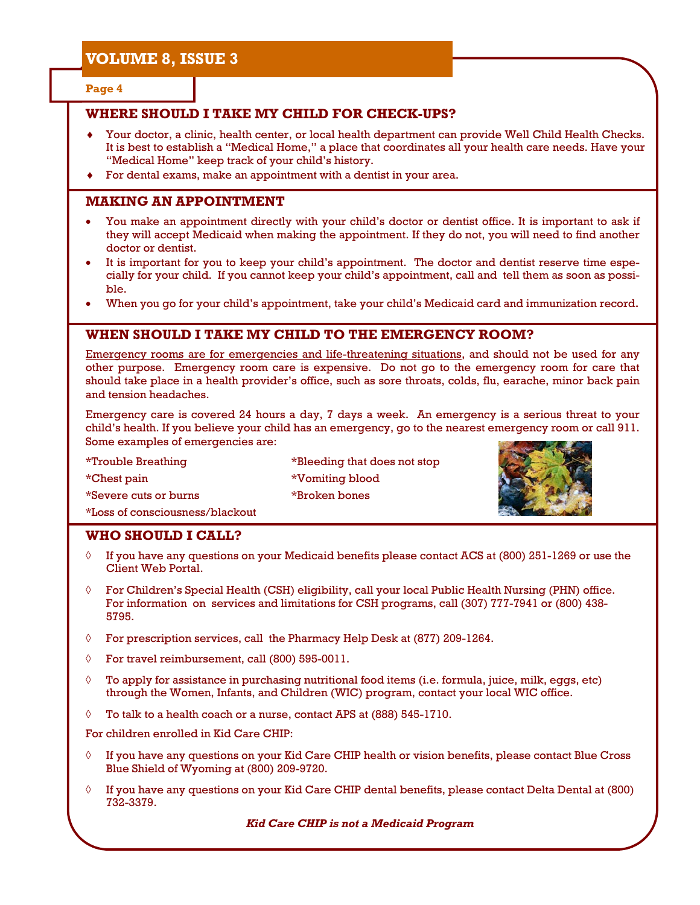**Page 4** 

# **WHERE SHOULD I TAKE MY CHILD FOR CHECK-UPS?**

- Your doctor, a clinic, health center, or local health department can provide Well Child Health Checks. It is best to establish a "Medical Home," a place that coordinates all your health care needs. Have your "Medical Home" keep track of your child's history.
- ♦ For dental exams, make an appointment with a dentist in your area.

### **MAKING AN APPOINTMENT**

- You make an appointment directly with your child's doctor or dentist office. It is important to ask if they will accept Medicaid when making the appointment. If they do not, you will need to find another doctor or dentist.
- It is important for you to keep your child's appointment. The doctor and dentist reserve time especially for your child. If you cannot keep your child's appointment, call and tell them as soon as possible.
- When you go for your child's appointment, take your child's Medicaid card and immunization record.

### **WHEN SHOULD I TAKE MY CHILD TO THE EMERGENCY ROOM?**

Emergency rooms are for emergencies and life-threatening situations, and should not be used for any other purpose. Emergency room care is expensive. Do not go to the emergency room for care that should take place in a health provider's office, such as sore throats, colds, flu, earache, minor back pain and tension headaches.

Emergency care is covered 24 hours a day, 7 days a week. An emergency is a serious threat to your child's health. If you believe your child has an emergency, go to the nearest emergency room or call 911. Some examples of emergencies are:

\*Trouble Breathing \*Bleeding that does not stop \*Chest pain \*Vomiting blood \*Severe cuts or burns \*Broken bones \*Loss of consciousness/blackout



#### **WHO SHOULD I CALL?**

- ◊ If you have any questions on your Medicaid benefits please contact ACS at (800) 251-1269 or use the Client Web Portal.
- $\Diamond$  For Children's Special Health (CSH) eligibility, call your local Public Health Nursing (PHN) office. For information on services and limitations for CSH programs, call (307) 777-7941 or (800) 438- 5795.
- ◊ For prescription services, call the Pharmacy Help Desk at (877) 209-1264.
- ◊ For travel reimbursement, call (800) 595-0011.
- $\Diamond$  To apply for assistance in purchasing nutritional food items (i.e. formula, juice, milk, eggs, etc) through the Women, Infants, and Children (WIC) program, contact your local WIC office.
- $\Diamond$  To talk to a health coach or a nurse, contact APS at (888) 545-1710.

For children enrolled in Kid Care CHIP:

- $\Diamond$  If you have any questions on your Kid Care CHIP health or vision benefits, please contact Blue Cross Blue Shield of Wyoming at (800) 209-9720.
- $\Diamond$  If you have any questions on your Kid Care CHIP dental benefits, please contact Delta Dental at (800) 732-3379.

*Kid Care CHIP is not a Medicaid Program*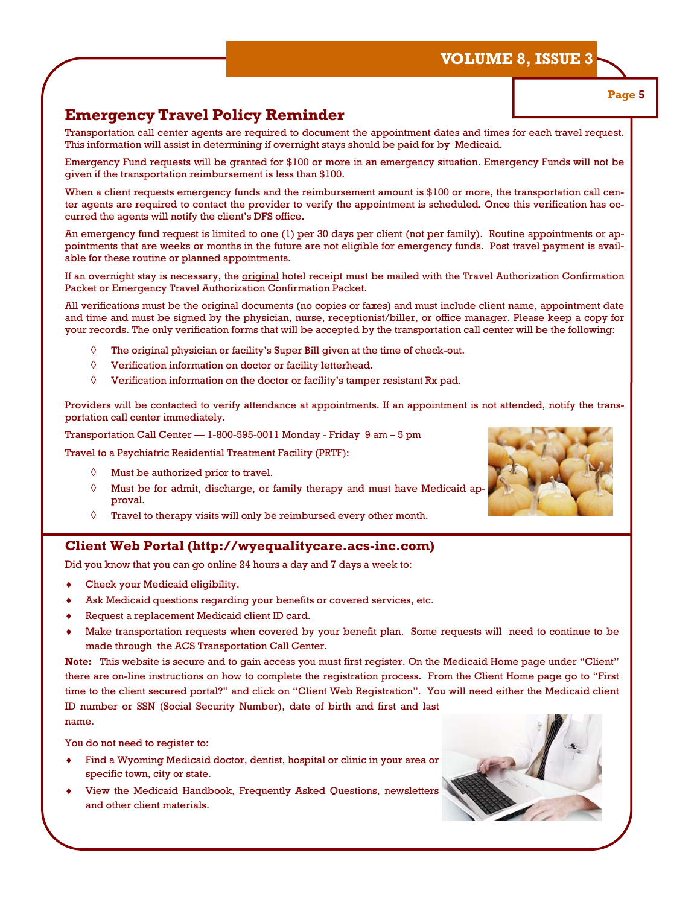# **Emergency Travel Policy Reminder**

Transportation call center agents are required to document the appointment dates and times for each travel request. This information will assist in determining if overnight stays should be paid for by Medicaid.

Emergency Fund requests will be granted for \$100 or more in an emergency situation. Emergency Funds will not be given if the transportation reimbursement is less than \$100.

When a client requests emergency funds and the reimbursement amount is \$100 or more, the transportation call center agents are required to contact the provider to verify the appointment is scheduled. Once this verification has occurred the agents will notify the client's DFS office.

An emergency fund request is limited to one (1) per 30 days per client (not per family). Routine appointments or appointments that are weeks or months in the future are not eligible for emergency funds. Post travel payment is available for these routine or planned appointments.

If an overnight stay is necessary, the *original* hotel receipt must be mailed with the Travel Authorization Confirmation Packet or Emergency Travel Authorization Confirmation Packet.

All verifications must be the original documents (no copies or faxes) and must include client name, appointment date and time and must be signed by the physician, nurse, receptionist/biller, or office manager. Please keep a copy for your records. The only verification forms that will be accepted by the transportation call center will be the following:

- ◊ The original physician or facility's Super Bill given at the time of check-out.
- ◊ Verification information on doctor or facility letterhead.
- $\Diamond$  Verification information on the doctor or facility's tamper resistant Rx pad.

Providers will be contacted to verify attendance at appointments. If an appointment is not attended, notify the transportation call center immediately.

Transportation Call Center — 1-800-595-0011 Monday - Friday 9 am – 5 pm

Travel to a Psychiatric Residential Treatment Facility (PRTF):

- ◊ Must be authorized prior to travel.
- $\Diamond$  Must be for admit, discharge, or family therapy and must have Medicaid approval.
- $\Diamond$  Travel to therapy visits will only be reimbursed every other month.

#### **Client Web Portal (http://wyequalitycare.acs-inc.com)**

Did you know that you can go online 24 hours a day and 7 days a week to:

- Check your Medicaid eligibility.
- Ask Medicaid questions regarding your benefits or covered services, etc.
- Request a replacement Medicaid client ID card.
- Make transportation requests when covered by your benefit plan. Some requests will need to continue to be made through the ACS Transportation Call Center.

**Note:** This website is secure and to gain access you must first register. On the Medicaid Home page under "Client" there are on-line instructions on how to complete the registration process. From the Client Home page go to "First time to the client secured portal?" and click on "Client Web Registration". You will need either the Medicaid client ID number or SSN (Social Security Number), date of birth and first and last name.

You do not need to register to:

- Find a Wyoming Medicaid doctor, dentist, hospital or clinic in your area or specific town, city or state.
- View the Medicaid Handbook, Frequently Asked Questions, newsletters and other client materials.





**Page 5**